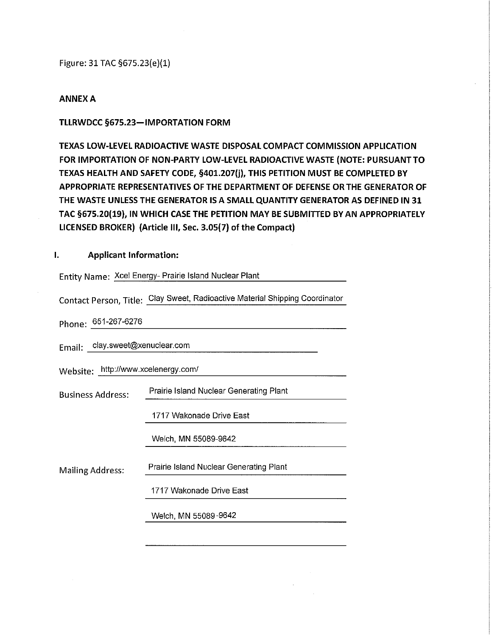Figure: 31 TAG §675.23(e)(l)

#### ANNEX A

### TLLRWDCC §675.23-IMPORTATION FORM

TEXAS LOW-LEVEL RADIOACTIVE WASTE DISPOSAL COMPACT COMMISSION APPLICATION FOR IMPORTATION OF NON-PARTY LOW-LEVEL RADIOACTIVE WASTE (NOTE: PURSUANT TO TEXAS HEALTH AND SAFETY CODE, §401.207(j), THIS PETITION MUST BE COMPLETED BY APPROPRIATE REPRESENTATIVES OF THE DEPARTMENT OF DEFENSE OR THE GENERATOR OF THE WASTE UNLESS THE GENERATOR IS A SMALL QUANTITY GENERATOR AS DEFINED IN 31 TAG §675.20(19), IN WHICH CASE THE PETITION MAY BE SUBMITTED BY AN APPROPRIATELY LICENSED BROKER) (Article III, Sec. 3.05(7) of the Compact)

### I. Applicant Information:

|                                     | Entity Name: Xcel Energy- Prairie Island Nuclear Plant                      |  |
|-------------------------------------|-----------------------------------------------------------------------------|--|
|                                     | Contact Person, Title: Clay Sweet, Radioactive Material Shipping Coordinato |  |
| Phone: 651-267-6276                 |                                                                             |  |
| Email: clay.sweet@xenuclear.com     |                                                                             |  |
| Website: http://www.xcelenergy.com/ |                                                                             |  |
| <b>Business Address:</b>            | Prairie Island Nuclear Generating Plant                                     |  |
|                                     | 1717 Wakonade Drive East                                                    |  |
|                                     | Welch, MN 55089-9642                                                        |  |
| Mailing Address:                    | Prairie Island Nuclear Generating Plant                                     |  |
|                                     | 1717 Wakonade Drive East                                                    |  |
|                                     | Welch, MN 55089-9642                                                        |  |
|                                     |                                                                             |  |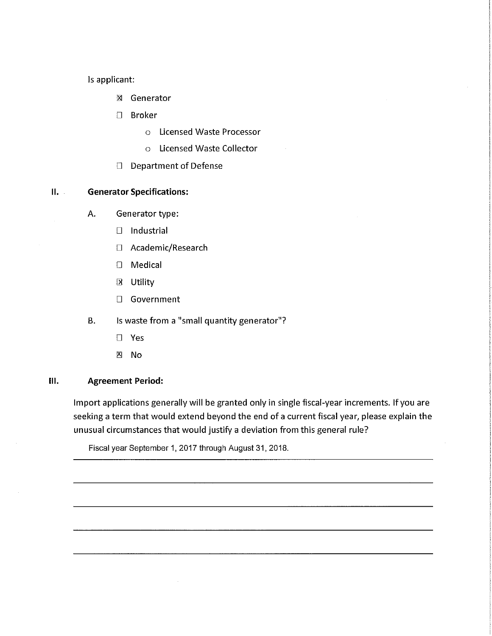Is applicant:

- lx| Generator
- D Broker
	- o Licensed Waste Processor
	- o Licensed Waste Collector
- D Department of Defense

## II. Generator Specifications:

- A. Generator type:
	- D Industrial
	- D Academic/Research
	- D Medical
	- B Utility
	- n Government
- B. Is waste from a "small quantity generator"?
	- $\square$  Yes
	- B No

#### 111. Agreement Period:

Import applications generally will be granted only in single fiscal-year increments. If you are seeking a term that would extend beyond the end of a current fiscal year, please explain the unusual circumstances that would justify a deviation from this general rule?

Fiscal year September 1, 2017 through August 31, 2018.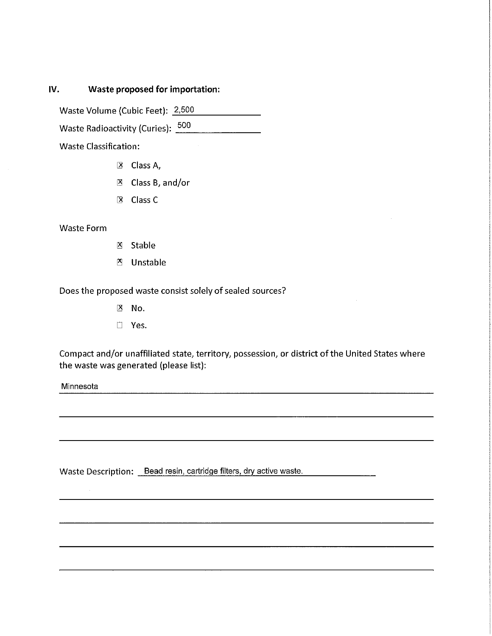# IV. Waste proposed for importation:

Waste Volume (Cubic Feet): 2,500 

Waste Radioactivity (Curies): 500

Waste Classification:

- 3 Class A/
- 0 Class B/ and/or
- B Class C

### Waste Form

- $X$  Stable
- B Unstable

Does the proposed waste consist solely of sealed sources?

 $X$  No.

n Yes.

Compact and/or unaffiliated state, territory, possession, or district of the United States where the waste was generated (please list):

**Minnesota** 

Waste Description: Bead resin, cartridge filters, dry active waste.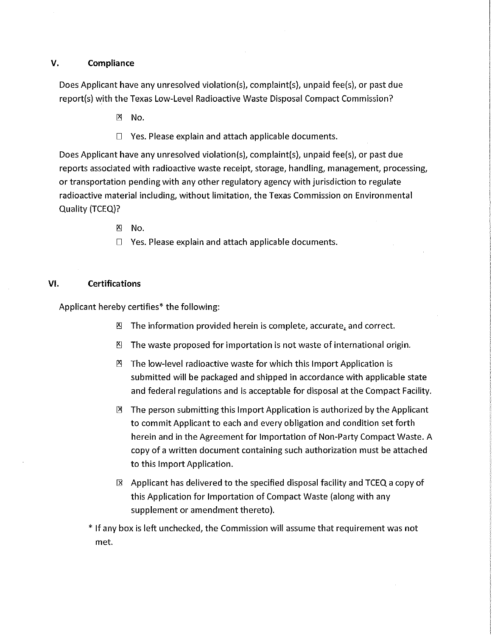#### V. Compliance

Does Applicant have any unresolved violation(s), complaint(s), unpaid fee(s), or past due report(s) with the Texas Low-Level Radioactive Waste Disposal Compact Commission?

- $\mathbb{X}$  No.
- $\Box$  Yes. Please explain and attach applicable documents.

Does Applicant have any unresolved violation(s), complaint(s), unpaid fee(s), or past due reports associated with radioactive waste receipt, storage, handling, management, processing, or transportation pending with any other regulatory agency with jurisdiction to regulate radioactive material including, without limitation, the Texas Commission on Environmental Quality (TCEQ)?

- $X \cup N$
- $\Box$  Yes. Please explain and attach applicable documents.

#### VI. Certifications

Applicant hereby certifies\* the following;

- $\mathbb{Z}$  The information provided herein is complete, accurate, and correct.
- B The waste proposed for importation is not waste of international origin.
- $\mathbb{B}$  The low-level radioactive waste for which this Import Application is submitted will be packaged and shipped in accordance with applicable state and federal regulations and is acceptable for disposal at the Compact Facility.
- 3 The person submitting this Import Application is authorized by the Applicant to commit Applicant to each and every obligation and condition set forth herein and in the Agreement for Importation of Non-Party Compact Waste. A copy of a written document containing such authorization must be attached to this Import Application.
- $\boxtimes$  Applicant has delivered to the specified disposal facility and TCEQ a copy of this Application for Importation of Compact Waste (along with any supplement or amendment thereto).
- \* If any box is left unchecked/ the Commission will assume that requirement was not met